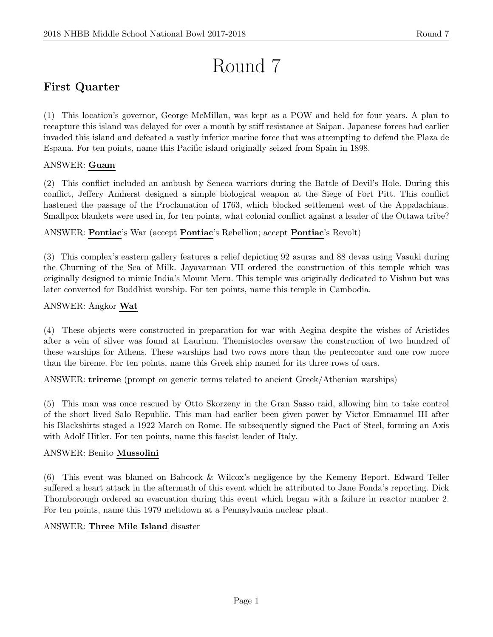# Round 7

# First Quarter

(1) This location's governor, George McMillan, was kept as a POW and held for four years. A plan to recapture this island was delayed for over a month by stiff resistance at Saipan. Japanese forces had earlier invaded this island and defeated a vastly inferior marine force that was attempting to defend the Plaza de Espana. For ten points, name this Pacific island originally seized from Spain in 1898.

# ANSWER: Guam

(2) This conflict included an ambush by Seneca warriors during the Battle of Devil's Hole. During this conflict, Jeffery Amherst designed a simple biological weapon at the Siege of Fort Pitt. This conflict hastened the passage of the Proclamation of 1763, which blocked settlement west of the Appalachians. Smallpox blankets were used in, for ten points, what colonial conflict against a leader of the Ottawa tribe?

ANSWER: Pontiac's War (accept Pontiac's Rebellion; accept Pontiac's Revolt)

(3) This complex's eastern gallery features a relief depicting 92 asuras and 88 devas using Vasuki during the Churning of the Sea of Milk. Jayavarman VII ordered the construction of this temple which was originally designed to mimic India's Mount Meru. This temple was originally dedicated to Vishnu but was later converted for Buddhist worship. For ten points, name this temple in Cambodia.

# ANSWER: Angkor Wat

(4) These objects were constructed in preparation for war with Aegina despite the wishes of Aristides after a vein of silver was found at Laurium. Themistocles oversaw the construction of two hundred of these warships for Athens. These warships had two rows more than the penteconter and one row more than the bireme. For ten points, name this Greek ship named for its three rows of oars.

ANSWER: trireme (prompt on generic terms related to ancient Greek/Athenian warships)

(5) This man was once rescued by Otto Skorzeny in the Gran Sasso raid, allowing him to take control of the short lived Salo Republic. This man had earlier been given power by Victor Emmanuel III after his Blackshirts staged a 1922 March on Rome. He subsequently signed the Pact of Steel, forming an Axis with Adolf Hitler. For ten points, name this fascist leader of Italy.

# ANSWER: Benito Mussolini

(6) This event was blamed on Babcock & Wilcox's negligence by the Kemeny Report. Edward Teller suffered a heart attack in the aftermath of this event which he attributed to Jane Fonda's reporting. Dick Thornborough ordered an evacuation during this event which began with a failure in reactor number 2. For ten points, name this 1979 meltdown at a Pennsylvania nuclear plant.

#### ANSWER: Three Mile Island disaster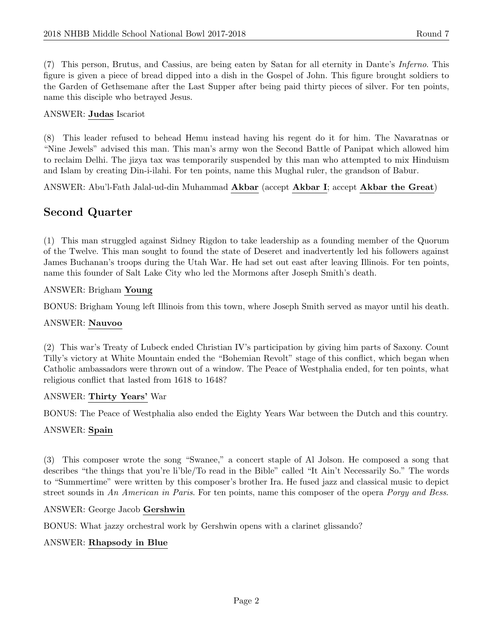(7) This person, Brutus, and Cassius, are being eaten by Satan for all eternity in Dante's Inferno. This figure is given a piece of bread dipped into a dish in the Gospel of John. This figure brought soldiers to the Garden of Gethsemane after the Last Supper after being paid thirty pieces of silver. For ten points, name this disciple who betrayed Jesus.

#### ANSWER: Judas Iscariot

(8) This leader refused to behead Hemu instead having his regent do it for him. The Navaratnas or "Nine Jewels" advised this man. This man's army won the Second Battle of Panipat which allowed him to reclaim Delhi. The jizya tax was temporarily suspended by this man who attempted to mix Hinduism and Islam by creating Din-i-ilahi. For ten points, name this Mughal ruler, the grandson of Babur.

ANSWER: Abu'l-Fath Jalal-ud-din Muhammad Akbar (accept Akbar I; accept Akbar the Great)

# Second Quarter

(1) This man struggled against Sidney Rigdon to take leadership as a founding member of the Quorum of the Twelve. This man sought to found the state of Deseret and inadvertently led his followers against James Buchanan's troops during the Utah War. He had set out east after leaving Illinois. For ten points, name this founder of Salt Lake City who led the Mormons after Joseph Smith's death.

#### ANSWER: Brigham Young

BONUS: Brigham Young left Illinois from this town, where Joseph Smith served as mayor until his death.

#### ANSWER: Nauvoo

(2) This war's Treaty of Lubeck ended Christian IV's participation by giving him parts of Saxony. Count Tilly's victory at White Mountain ended the "Bohemian Revolt" stage of this conflict, which began when Catholic ambassadors were thrown out of a window. The Peace of Westphalia ended, for ten points, what religious conflict that lasted from 1618 to 1648?

#### ANSWER: Thirty Years' War

BONUS: The Peace of Westphalia also ended the Eighty Years War between the Dutch and this country.

#### ANSWER: Spain

(3) This composer wrote the song "Swanee," a concert staple of Al Jolson. He composed a song that describes "the things that you're li'ble/To read in the Bible" called "It Ain't Necessarily So." The words to "Summertime" were written by this composer's brother Ira. He fused jazz and classical music to depict street sounds in An American in Paris. For ten points, name this composer of the opera Porgy and Bess.

ANSWER: George Jacob Gershwin

BONUS: What jazzy orchestral work by Gershwin opens with a clarinet glissando?

#### ANSWER: Rhapsody in Blue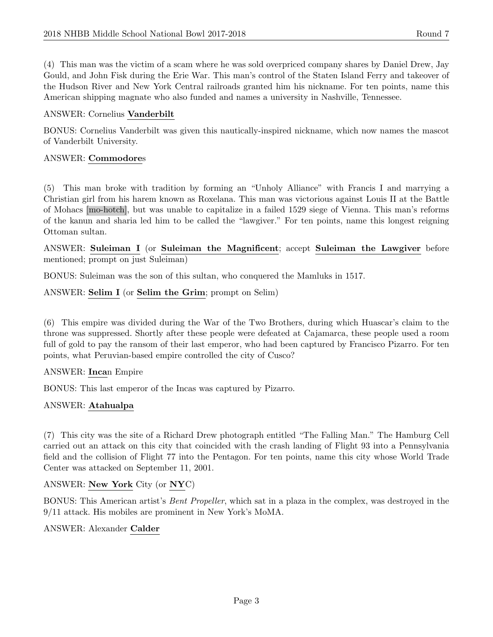(4) This man was the victim of a scam where he was sold overpriced company shares by Daniel Drew, Jay Gould, and John Fisk during the Erie War. This man's control of the Staten Island Ferry and takeover of the Hudson River and New York Central railroads granted him his nickname. For ten points, name this American shipping magnate who also funded and names a university in Nashville, Tennessee.

#### ANSWER: Cornelius Vanderbilt

BONUS: Cornelius Vanderbilt was given this nautically-inspired nickname, which now names the mascot of Vanderbilt University.

#### ANSWER: Commodores

(5) This man broke with tradition by forming an "Unholy Alliance" with Francis I and marrying a Christian girl from his harem known as Roxelana. This man was victorious against Louis II at the Battle of Mohacs [mo-hotch], but was unable to capitalize in a failed 1529 siege of Vienna. This man's reforms of the kanun and sharia led him to be called the "lawgiver." For ten points, name this longest reigning Ottoman sultan.

ANSWER: Suleiman I (or Suleiman the Magnificent; accept Suleiman the Lawgiver before mentioned; prompt on just Suleiman)

BONUS: Suleiman was the son of this sultan, who conquered the Mamluks in 1517.

ANSWER: Selim I (or Selim the Grim; prompt on Selim)

(6) This empire was divided during the War of the Two Brothers, during which Huascar's claim to the throne was suppressed. Shortly after these people were defeated at Cajamarca, these people used a room full of gold to pay the ransom of their last emperor, who had been captured by Francisco Pizarro. For ten points, what Peruvian-based empire controlled the city of Cusco?

#### ANSWER: Incan Empire

BONUS: This last emperor of the Incas was captured by Pizarro.

#### ANSWER: Atahualpa

(7) This city was the site of a Richard Drew photograph entitled "The Falling Man." The Hamburg Cell carried out an attack on this city that coincided with the crash landing of Flight 93 into a Pennsylvania field and the collision of Flight 77 into the Pentagon. For ten points, name this city whose World Trade Center was attacked on September 11, 2001.

#### ANSWER: New York City (or NYC)

BONUS: This American artist's Bent Propeller, which sat in a plaza in the complex, was destroyed in the 9/11 attack. His mobiles are prominent in New York's MoMA.

#### ANSWER: Alexander Calder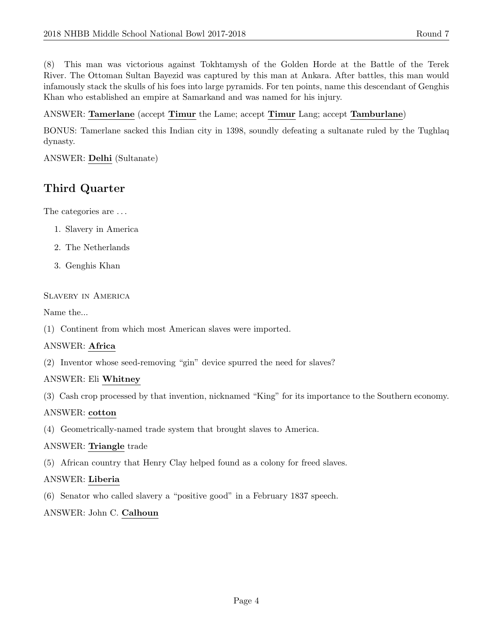(8) This man was victorious against Tokhtamysh of the Golden Horde at the Battle of the Terek River. The Ottoman Sultan Bayezid was captured by this man at Ankara. After battles, this man would infamously stack the skulls of his foes into large pyramids. For ten points, name this descendant of Genghis Khan who established an empire at Samarkand and was named for his injury.

#### ANSWER: Tamerlane (accept Timur the Lame; accept Timur Lang; accept Tamburlane)

BONUS: Tamerlane sacked this Indian city in 1398, soundly defeating a sultanate ruled by the Tughlaq dynasty.

#### ANSWER: Delhi (Sultanate)

# Third Quarter

The categories are . . .

- 1. Slavery in America
- 2. The Netherlands
- 3. Genghis Khan

#### Slavery in America

Name the...

(1) Continent from which most American slaves were imported.

#### ANSWER: Africa

(2) Inventor whose seed-removing "gin" device spurred the need for slaves?

#### ANSWER: Eli Whitney

(3) Cash crop processed by that invention, nicknamed "King" for its importance to the Southern economy.

#### ANSWER: cotton

(4) Geometrically-named trade system that brought slaves to America.

#### ANSWER: Triangle trade

(5) African country that Henry Clay helped found as a colony for freed slaves.

#### ANSWER: Liberia

(6) Senator who called slavery a "positive good" in a February 1837 speech.

#### ANSWER: John C. Calhoun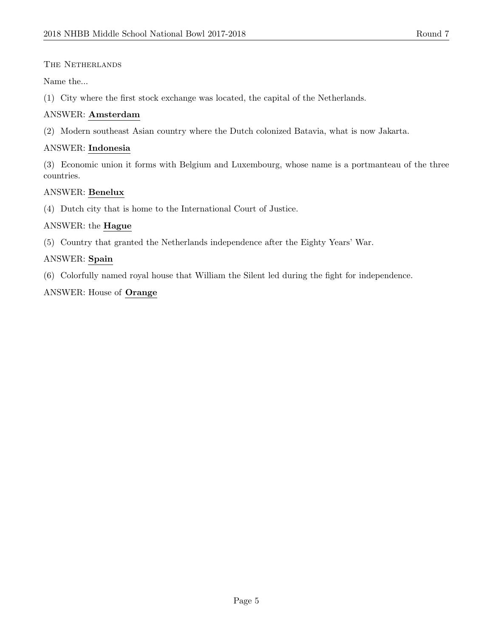# The Netherlands

Name the...

(1) City where the first stock exchange was located, the capital of the Netherlands.

# ANSWER: Amsterdam

(2) Modern southeast Asian country where the Dutch colonized Batavia, what is now Jakarta.

# ANSWER: Indonesia

(3) Economic union it forms with Belgium and Luxembourg, whose name is a portmanteau of the three countries.

# ANSWER: Benelux

(4) Dutch city that is home to the International Court of Justice.

# ANSWER: the Hague

(5) Country that granted the Netherlands independence after the Eighty Years' War.

# ANSWER: Spain

(6) Colorfully named royal house that William the Silent led during the fight for independence.

# ANSWER: House of Orange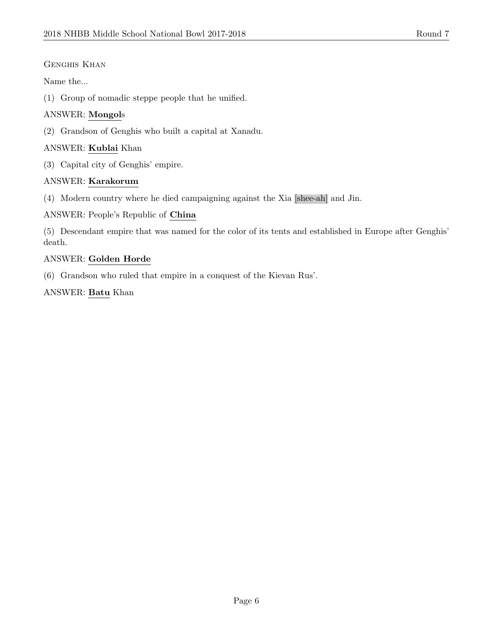# GENGHIS KHAN

Name the...

(1) Group of nomadic steppe people that he unified.

# ANSWER: Mongols

(2) Grandson of Genghis who built a capital at Xanadu.

# ANSWER: Kublai Khan

(3) Capital city of Genghis' empire.

# ANSWER: Karakorum

(4) Modern country where he died campaigning against the Xia [shee-ah] and Jin.

# ANSWER: People's Republic of China

(5) Descendant empire that was named for the color of its tents and established in Europe after Genghis' death.

#### ANSWER: Golden Horde

(6) Grandson who ruled that empire in a conquest of the Kievan Rus'.

# ANSWER: Batu Khan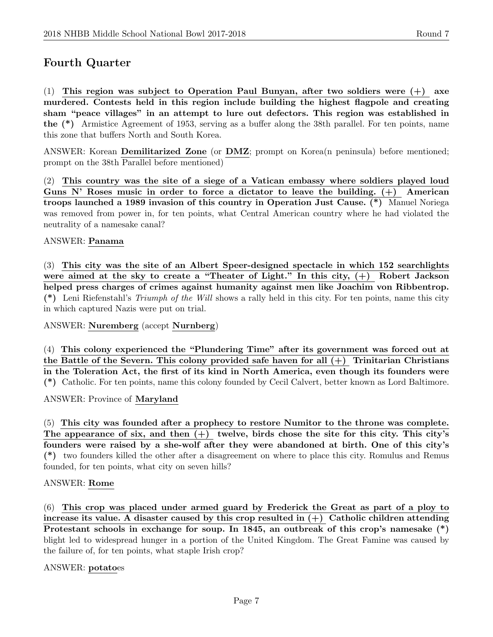# Fourth Quarter

(1) This region was subject to Operation Paul Bunyan, after two soldiers were  $(+)$  axe murdered. Contests held in this region include building the highest flagpole and creating sham "peace villages" in an attempt to lure out defectors. This region was established in the (\*) Armistice Agreement of 1953, serving as a buffer along the 38th parallel. For ten points, name this zone that buffers North and South Korea.

ANSWER: Korean Demilitarized Zone (or DMZ; prompt on Korea(n peninsula) before mentioned; prompt on the 38th Parallel before mentioned)

(2) This country was the site of a siege of a Vatican embassy where soldiers played loud Guns N' Roses music in order to force a dictator to leave the building.  $(+)$  American troops launched a 1989 invasion of this country in Operation Just Cause. (\*) Manuel Noriega was removed from power in, for ten points, what Central American country where he had violated the neutrality of a namesake canal?

#### ANSWER: Panama

(3) This city was the site of an Albert Speer-designed spectacle in which 152 searchlights were aimed at the sky to create a "Theater of Light." In this city,  $(+)$  Robert Jackson helped press charges of crimes against humanity against men like Joachim von Ribbentrop. (\*) Leni Riefenstahl's *Triumph of the Will* shows a rally held in this city. For ten points, name this city in which captured Nazis were put on trial.

ANSWER: Nuremberg (accept Nurnberg)

(4) This colony experienced the "Plundering Time" after its government was forced out at the Battle of the Severn. This colony provided safe haven for all  $(+)$  Trinitarian Christians in the Toleration Act, the first of its kind in North America, even though its founders were (\*) Catholic. For ten points, name this colony founded by Cecil Calvert, better known as Lord Baltimore.

ANSWER: Province of Maryland

(5) This city was founded after a prophecy to restore Numitor to the throne was complete. The appearance of six, and then  $(+)$  twelve, birds chose the site for this city. This city's founders were raised by a she-wolf after they were abandoned at birth. One of this city's (\*) two founders killed the other after a disagreement on where to place this city. Romulus and Remus founded, for ten points, what city on seven hills?

#### ANSWER: Rome

(6) This crop was placed under armed guard by Frederick the Great as part of a ploy to increase its value. A disaster caused by this crop resulted in  $(+)$  Catholic children attending Protestant schools in exchange for soup. In 1845, an outbreak of this crop's namesake  $(*)$ blight led to widespread hunger in a portion of the United Kingdom. The Great Famine was caused by the failure of, for ten points, what staple Irish crop?

#### ANSWER: potatoes